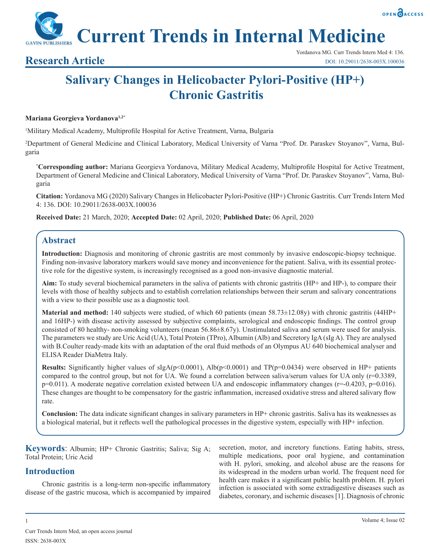

**Current Trends in Internal Medicine**

# **Salivary Changes in Helicobacter Pylori-Positive (HP+) Chronic Gastritis**

## **Mariana Georgieva Yordanova1,2\***

1 Military Medical Academy, Multiprofile Hospital for Active Treatment, Varna, Bulgaria

2 Department of General Medicine and Clinical Laboratory, Medical University of Varna "Prof. Dr. Paraskev Stoyanov", Varna, Bulgaria

**\* Corresponding author:** Mariana Georgieva Yordanova, Military Medical Academy, Multiprofile Hospital for Active Treatment, Department of General Medicine and Clinical Laboratory, Medical University of Varna "Prof. Dr. Paraskev Stoyanov", Varna, Bulgaria

**Citation:** Yordanova MG (2020) Salivary Changes in Helicobacter Pylori-Positive (HP+) Chronic Gastritis. Curr Trends Intern Med 4: 136. DOI: 10.29011/2638-003X.100036

**Received Date:** 21 March, 2020; **Accepted Date:** 02 April, 2020; **Published Date:** 06 April, 2020

# **Abstract**

**Introduction:** Diagnosis and monitoring of chronic gastritis are most commonly by invasive endoscopic-biopsy technique. Finding non-invasive laboratory markers would save money and inconvenience for the patient. Saliva, with its essential protective role for the digestive system, is increasingly recognised as a good non-invasive diagnostic material.

**Aim:** To study several biochemical parameters in the saliva of patients with chronic gastritis (HP+ and HP-), to compare their levels with those of healthy subjects and to establish correlation relationships between their serum and salivary concentrations with a view to their possible use as a diagnostic tool.

**Material and method:** 140 subjects were studied, of which 60 patients (mean 58.73±12.08y) with chronic gastritis (44HP+ and 16HP-) with disease activity assessed by subjective complaints, serological and endoscopic findings. The control group consisted of 80 healthy- non-smoking volunteers (mean 56.86±8.67y). Unstimulated saliva and serum were used for analysis. The parameters we study are Uric Acid (UA), Total Protein (TPro), Albumin (Alb) and Secretory IgA (sIg A). They are analysed with B.Coulter ready-made kits with an adaptation of the oral fluid methods of an Olympus AU 640 biochemical analyser and ELISA Reader DiaMetra Italy.

**Results:** Significantly higher values of  $\text{slgA}(p<0.0001)$ ,  $\text{Alb}(p<0.0001)$  and  $\text{TP}(p=0.0434)$  were observed in HP+ patients compared to the control group, but not for UA. We found a correlation between saliva/serum values for UA only  $(r=0.3389)$ , p=0.011). A moderate negative correlation existed between UA and endoscopic inflammatory changes (r=-0.4203, p=0.016). These changes are thought to be compensatory for the gastric inflammation, increased oxidative stress and altered salivary flow rate.

**Conclusion:** The data indicate significant changes in salivary parameters in HP+ chronic gastritis. Saliva has its weaknesses as a biological material, but it reflects well the pathological processes in the digestive system, especially with HP+ infection.

**Keywords**: Albumin; HP+ Chronic Gastritis; Saliva; Sig A; Total Protein; Uric Acid

# **Introduction**

Chronic gastritis is a long-term non-specific inflammatory disease of the gastric mucosa, which is accompanied by impaired secretion, motor, and incretory functions. Eating habits, stress, multiple medications, poor oral hygiene, and contamination with H. pylori, smoking, and alcohol abuse are the reasons for its widespread in the modern urban world. The frequent need for health care makes it a significant public health problem. H. pylori infection is associated with some extradigestive diseases such as diabetes, coronary, and ischemic diseases [1]. Diagnosis of chronic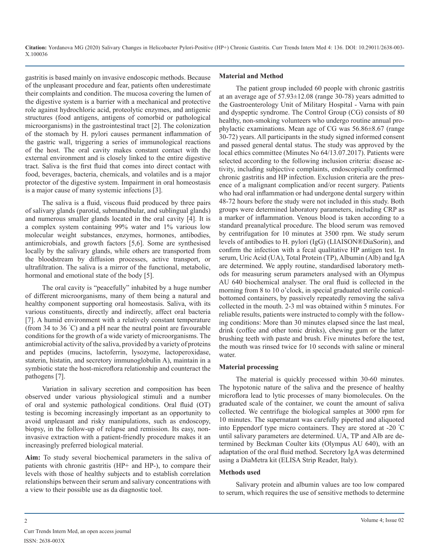gastritis is based mainly on invasive endoscopic methods. Because of the unpleasant procedure and fear, patients often underestimate their complaints and condition. The mucosa covering the lumen of the digestive system is a barrier with a mechanical and protective role against hydrochloric acid, proteolytic enzymes, and antigenic structures (food antigens, antigens of comorbid or pathological microorganisms) in the gastrointestinal tract [2]. The colonization of the stomach by H. pylori causes permanent inflammation of the gastric wall, triggering a series of immunological reactions of the host. The oral cavity makes constant contact with the external environment and is closely linked to the entire digestive tract. Saliva is the first fluid that comes into direct contact with food, beverages, bacteria, chemicals, and volatiles and is a major protector of the digestive system. Impairment in oral homeostasis is a major cause of many systemic infections [3].

The saliva is a fluid, viscous fluid produced by three pairs of salivary glands (parotid, submandibular, and sublingual glands) and numerous smaller glands located in the oral cavity [4]. It is a complex system containing 99% water and 1% various low molecular weight substances, enzymes, hormones, antibodies, antimicrobials, and growth factors [5,6]. Some are synthesised locally by the salivary glands, while others are transported from the bloodstream by diffusion processes, active transport, or ultrafiltration. The saliva is a mirror of the functional, metabolic, hormonal and emotional state of the body [5].

The oral cavity is "peacefully" inhabited by a huge number of different microorganisms, many of them being a natural and healthy component supporting oral homeostasis. Saliva, with its various constituents, directly and indirectly, affect oral bacteria [7]. A humid environment with a relatively constant temperature (from 34 to 36 ° C) and a pH near the neutral point are favourable conditions for the growth of a wide variety of microorganisms. The antimicrobial activity of the saliva, provided by a variety of proteins and peptides (mucins, lactoferrin, lysozyme, lactoperoxidase, staterin, histatin, and secretory immunoglobulin A), maintain in a symbiotic state the host-microflora relationship and counteract the pathogens [7].

Variation in salivary secretion and composition has been observed under various physiological stimuli and a number of oral and systemic pathological conditions. Oral fluid (OT) testing is becoming increasingly important as an opportunity to avoid unpleasant and risky manipulations, such as endoscopy, biopsy, in the follow-up of relapse and remission. Its easy, noninvasive extraction with a patient-friendly procedure makes it an increasingly preferred biological material.

**Aim:** To study several biochemical parameters in the saliva of patients with chronic gastritis (HP+ and HP-), to compare their levels with those of healthy subjects and to establish correlation relationships between their serum and salivary concentrations with a view to their possible use as da diagnostic tool.

#### **Material and Method**

The patient group included 60 people with chronic gastritis at an average age of 57.93±12.08 (range 30-78) years admitted to the Gastroenterology Unit of Military Hospital - Varna with pain and dyspeptic syndrome. The Control Group (CG) consists of 80 healthy, non-smoking volunteers who undergo routine annual prophylactic examinations. Mean age of CG was 56.86±8.67 (range 30-72) years. All participants in the study signed informed consent and passed general dental status. The study was approved by the local ethics committee (Minutes No 64/13.07.2017). Patients were selected according to the following inclusion criteria: disease activity, including subjective complaints, endoscopically confirmed chronic gastritis and HP infection. Exclusion criteria are the presence of a malignant complication and/or recent surgery. Patients who had oral inflammation or had undergone dental surgery within 48-72 hours before the study were not included in this study. Both groups were determined laboratory parameters, including CRP as a marker of inflammation. Venous blood is taken according to a standard preanalytical procedure. The blood serum was removed by centrifugation for 10 minutes at 3500 rpm. We study serum levels of antibodies to H. pylori (IgG) (LIAISON®DiaSorin), and confirm the infection with a fecal qualitative HP antigen test. In serum, Uric Acid (UA), Total Protein (TP), Albumin (Alb) and IgA are determined. We apply routine, standardised laboratory methods for measuring serum parameters analysed with an Olympus AU 640 biochemical analyser. The oral fluid is collected in the morning from 8 to 10 o'clock, in special graduated sterile conicalbottomed containers, by passively repeatedly removing the saliva collected in the mouth. 2-3 ml was obtained within 5 minutes. For reliable results, patients were instructed to comply with the following conditions: More than 30 minutes elapsed since the last meal, drink (coffee and other tonic drinks), chewing gum or the latter brushing teeth with paste and brush. Five minutes before the test, the mouth was rinsed twice for 10 seconds with saline or mineral water.

#### **Material processing**

The material is quickly processed within 30-60 minutes. The hypotonic nature of the saliva and the presence of healthy microflora lead to lytic processes of many biomolecules. On the graduated scale of the container, we count the amount of saliva collected. We centrifuge the biological samples at 3000 rpm for 10 minutes. The supernatant was carefully pipetted and aliquoted into Eppendorf type micro containers. They are stored at -20 <sup>º</sup> C until salivary parameters are determined. UA, TP and Alb are determined by Beckman Coulter kits (Olympus AU 640), with an adaptation of the oral fluid method. Secretory IgA was determined using a DiaMetra kit (ELISA Strip Reader, Italy).

#### **Methods used**

Salivary protein and albumin values are too low compared to serum, which requires the use of sensitive methods to determine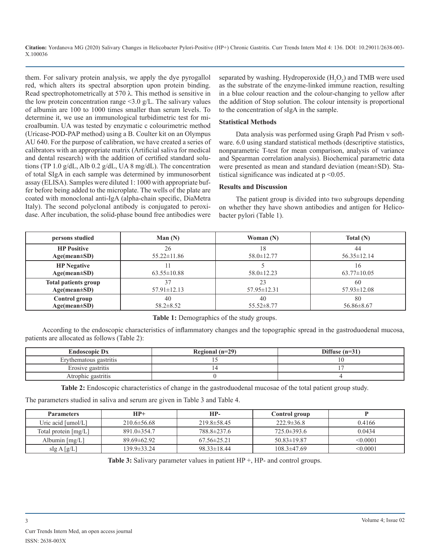them. For salivary protein analysis, we apply the dye pyrogallol red, which alters its spectral absorption upon protein binding. Read spectrophotometrically at 570  $\lambda$ . This method is sensitive in the low protein concentration range  $\leq 3.0$  g/L. The salivary values of albumin are 100 to 1000 times smaller than serum levels. To determine it, we use an immunological turbidimetric test for microalbumin. UА was tested by enzymatic c colourimetric method (Uricase-POD-PAP method) using a B. Coulter kit on an Olympus AU 640. For the purpose of calibration, we have created a series of calibrators with an appropriate matrix (Artificial saliva for medical and dental research) with the addition of certified standard solutions (TP 1.0 g/dL, Alb 0.2 g/dL, UA 8 mg/dL). The concentration of total SIgA in each sample was determined by immunosorbent assay (ELISA). Samples were diluted 1: 1000 with appropriate buffer before being added to the microplate. The wells of the plate are coated with monoclonal anti-IgA (alpha-chain specific, DiaMetra Italy). The second polyclonal antibody is conjugated to peroxidase. After incubation, the solid-phase bound free antibodies were

separated by washing. Hydroperoxide  $(H_2O_2)$  and TMB were used as the substrate of the enzyme-linked immune reaction, resulting in a blue colour reaction and the colour-changing to yellow after the addition of Stop solution. The colour intensity is proportional to the concentration of sIgA in the sample.

### **Statistical Methods**

Data analysis was performed using Graph Pad Prism v software. 6.0 using standard statistical methods (descriptive statistics, nonparametric T-test for mean comparison, analysis of variance and Spearman correlation analysis). Biochemical parametric data were presented as mean and standard deviation (mean±SD). Statistical significance was indicated at  $p \leq 0.05$ .

#### **Results and Discussion**

The patient group is divided into two subgroups depending on whether they have shown antibodies and antigen for Helicobacter pylori (Table 1).

| persons studied                          | Man $(N)$         | Woman $(N)$       | Total $(N)$              |
|------------------------------------------|-------------------|-------------------|--------------------------|
| <b>HP Positive</b>                       | 26                | 18                | 44                       |
| $Age(mean \pm SD)$                       | $55.22 \pm 11.86$ | $58.0 \pm 12.77$  | $56.35 \pm 12.14$        |
| <b>HP</b> Negative<br>$Age(mean \pm SD)$ | $63.55 \pm 10.88$ | $58.0 \pm 12.23$  | i 6<br>$63.77 \pm 10.05$ |
| <b>Total patients group</b>              | 37                | 23                | 60                       |
| $Age(mean \pm SD)$                       | $57.91 \pm 12.13$ | $57.95 \pm 12.31$ | $57.93 \pm 12.08$        |
| Control group                            | 40                | 40                | 80                       |
| $Age(mean \pm SD)$                       | $58.2 \pm 8.52$   | $55.52 \pm 8.77$  | $56.86 \pm 8.67$         |

**Table 1:** Demographics of the study groups.

According to the endoscopic characteristics of inflammatory changes and the topographic spread in the gastroduodenal mucosa, patients are allocated as follows (Table 2):

| <b>Endoscopic Dx</b>   | Regional $(n=29)$ | Diffuse $(n=31)$ |
|------------------------|-------------------|------------------|
| Erythematous gastritis |                   |                  |
| Erosive gastritis      |                   |                  |
| Atrophic gastritis     |                   |                  |

**Table 2:** Endoscopic characteristics of change in the gastroduodenal mucosae of the total patient group study.

The parameters studied in saliva and serum are given in Table 3 and Table 4.

| <b>Parameters</b>    | $HP+$             | HP-               | Control group     |               |
|----------------------|-------------------|-------------------|-------------------|---------------|
| Uric acid $[umol/L]$ | $210.6 \pm 56.68$ | $219.8 \pm 58.45$ | $222.9 \pm 36.8$  | 0.4166        |
| Total protein [mg/L] | $891.0 \pm 354.7$ | 788.8±237.6       | $725.0 \pm 393.6$ | 0.0434        |
| Albumin $[mg/L]$     | $89.69\pm 62.92$  | $67.56 \pm 25.21$ | $50.83 \pm 19.87$ | $\leq 0.0001$ |
| slgA[g/L]            | 139.9±33.24       | $98.33 \pm 18.44$ | $108.3 \pm 47.69$ | < 0.0001      |

**Table 3:** Salivary parameter values in patient HP +, HP- and control groups.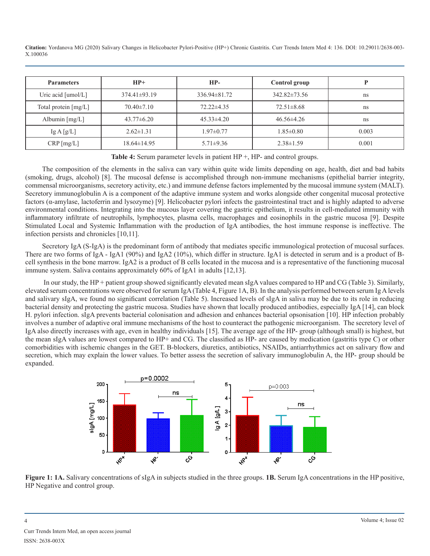| <b>Parameters</b>          | $HP+$             | HP-                | Control group      |       |
|----------------------------|-------------------|--------------------|--------------------|-------|
| Uric acid $[umol/L]$       | $374.41\pm93.19$  | $336.94 \pm 81.72$ | $342.82 \pm 73.56$ | ns    |
| Total protein $[mg/L]$     | $70.40 \pm 7.10$  | $72.22 \pm 4.35$   | $72.51 \pm 8.68$   | ns    |
| Albumin $[mg/L]$           | $43.77\pm 6.20$   | $45.33 \pm 4.20$   | $46.56 \pm 4.26$   | ns    |
| $\lg A \left[ g/L \right]$ | $2.62 \pm 1.31$   | $1.97 \pm 0.77$    | $1.85 \pm 0.80$    | 0.003 |
| $CRP$ [mg/L]               | $18.64 \pm 14.95$ | $5.71 \pm 9.36$    | $2.38 \pm 1.59$    | 0.001 |

**Table 4:** Serum parameter levels in patient HP +, HP- and control groups.

The composition of the elements in the saliva can vary within quite wide limits depending on age, health, diet and bad habits (smoking, drugs, alcohol) [8]. The mucosal defense is accomplished through non-immune mechanisms (epithelial barrier integrity, commensal microorganisms, secretory activity, etc.) and immune defense factors implemented by the mucosal immune system (MALT). Secretory immunoglobulin A is a component of the adaptive immune system and works alongside other congenital mucosal protective factors (α-amylase, lactoferrin and lysozyme) [9]. Helicobacter pylori infects the gastrointestinal tract and is highly adapted to adverse environmental conditions. Integrating into the mucous layer covering the gastric epithelium, it results in cell-mediated immunity with inflammatory infiltrate of neutrophils, lymphocytes, plasma cells, macrophages and eosinophils in the gastric mucosa [9]. Despite Stimulated Local and Systemic Inflammation with the production of IgA antibodies, the host immune response is ineffective. The infection persists and chronicles [10,11].

Secretory IgA (S-IgA) is the predominant form of antibody that mediates specific immunological protection of mucosal surfaces. There are two forms of IgA - IgA1 (90%) and IgA2 (10%), which differ in structure. IgA1 is detected in serum and is a product of Bcell synthesis in the bone marrow. IgA2 is a product of B cells located in the mucosa and is a representative of the functioning mucosal immune system. Saliva contains approximately 60% of IgA1 in adults [12,13].

 In our study, the HP + patient group showed significantly elevated mean sIgA values compared to HP and CG (Table 3). Similarly, elevated serum concentrations were observed for serum IgA (Table 4, Figure 1A, B). In the analysis performed between serum Ig A levels and salivary sIgA, we found no significant correlation (Table 5). Increased levels of sIgA in saliva may be due to its role in reducing bacterial density and protecting the gastric mucosa. Studies have shown that locally produced antibodies, especially IgA [14], can block H. pylori infection. sIgA prevents bacterial colonisation and adhesion and enhances bacterial opsonisation [10]. HP infection probably involves a number of adaptive oral immune mechanisms of the host to counteract the pathogenic microorganism. The secretory level of IgA also directly increases with age, even in healthy individuals [15]. The average age of the HP- group (although small) is highest, but the mean sIgA values are lowest compared to HP+ and CG. The classified as HP- are caused by medication (gastritis type C) or other comorbidities with ischemic changes in the GET. B-blockers, diuretics, antibiotics, NSAIDs, antiarrhythmics act on salivary flow and secretion, which may explain the lower values. To better assess the secretion of salivary immunoglobulin A, the HP- group should be expanded.



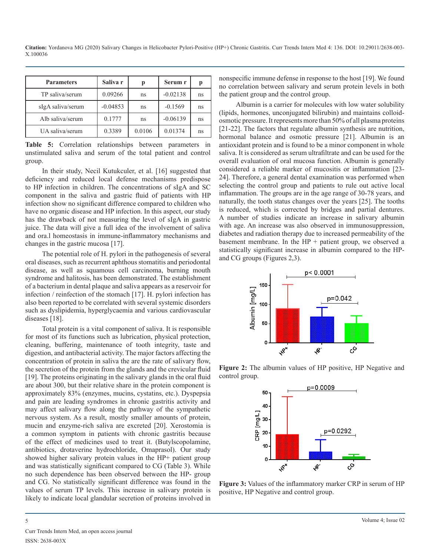| <b>Parameters</b> | Saliva r   | p      | Serum r    | р  |
|-------------------|------------|--------|------------|----|
| TP saliva/serum   | 0.09266    | ns     | $-0.02138$ | ns |
| sIgA saliva/serum | $-0.04853$ | ns     | $-0.1569$  | ns |
| Alb saliva/serum  | 0.1777     | ns     | $-0.06139$ | ns |
| UA saliva/serum   | 0.3389     | 0.0106 | 0.01374    | ns |

**Table 5:** Correlation relationships between parameters in unstimulated saliva and serum of the total patient and control group.

In their study, Necil Kutukculer, et al. [16] suggested that deficiency and reduced local defense mechanisms predispose to HP infection in children. The concentrations of sIgA and SC component in the saliva and gastric fluid of patients with HP infection show no significant difference compared to children who have no organic disease and HP infection. In this aspect, our study has the drawback of not measuring the level of sIgA in gastric juice. The data will give a full idea of the involvement of saliva and ora.l homeostasis in immune-inflammatory mechanisms and changes in the gastric mucosa [17].

The potential role of H. pylori in the pathogenesis of several oral diseases, such as recurrent aphthous stomatitis and periodontal disease, as well as squamous cell carcinoma, burning mouth syndrome and halitosis, has been demonstrated. The establishment of a bacterium in dental plaque and saliva appears as a reservoir for infection / reinfection of the stomach [17]. H. pylori infection has also been reported to be correlated with several systemic disorders such as dyslipidemia, hyperglycaemia and various cardiovascular diseases [18].

Total protein is a vital component of saliva. It is responsible for most of its functions such as lubrication, physical protection, cleaning, buffering, maintenance of tooth integrity, taste and digestion, and antibacterial activity. The major factors affecting the concentration of protein in saliva the are the rate of salivary flow, the secretion of the protein from the glands and the crevicular fluid [19]. The proteins originating in the salivary glands in the oral fluid are about 300, but their relative share in the protein component is approximately 83% (enzymes, mucins, cystatins, etc.). Dyspepsia and pain are leading syndromes in chronic gastritis activity and may affect salivary flow along the pathway of the sympathetic nervous system. As a result, mostly smaller amounts of protein, mucin and enzyme-rich saliva are excreted [20]. Xerostomia is a common symptom in patients with chronic gastritis because of the effect of medicines used to treat it. (Butylscopolamine, antibiotics, drotaverine hydrochloride, Omaprasol). Our study showed higher salivary protein values in the HP+ patient group and was statistically significant compared to CG (Table 3). While no such dependence has been observed between the HP- group and CG. No statistically significant difference was found in the values of serum TP levels. This increase in salivary protein is likely to indicate local glandular secretion of proteins involved in

nonspecific immune defense in response to the host [19]. We found no correlation between salivary and serum protein levels in both the patient group and the control group.

Albumin is a carrier for molecules with low water solubility (lipids, hormones, unconjugated bilirubin) and maintains colloidosmotic pressure. It represents more than 50% of all plasma proteins [21-22]. The factors that regulate albumin synthesis are nutrition, hormonal balance and osmotic pressure [21]. Albumin is an antioxidant protein and is found to be a minor component in whole saliva. It is considered as serum ultrafiltrate and can be used for the overall evaluation of oral mucosa function. Albumin is generally considered a reliable marker of mucositis or inflammation [23- 24]. Therefore, a general dental examination was performed when selecting the control group and patients to rule out active local inflammation. The groups are in the age range of 30-78 years, and naturally, the tooth status changes over the years [25]. The tooths is reduced, which is corrected by bridges and partial dentures. A number of studies indicate an increase in salivary albumin with age. An increase was also observed in immunosuppression, diabetes and radiation therapy due to increased permeability of the basement membrane. In the  $HP +$  patient group, we observed a statistically significant increase in albumin compared to the HPand CG groups (Figures 2,3).



**Figure 2:** The albumin values of HP positive, HP Negative and control group.



**Figure 3:** Values of the inflammatory marker CRP in serum of HP positive, HP Negative and control group.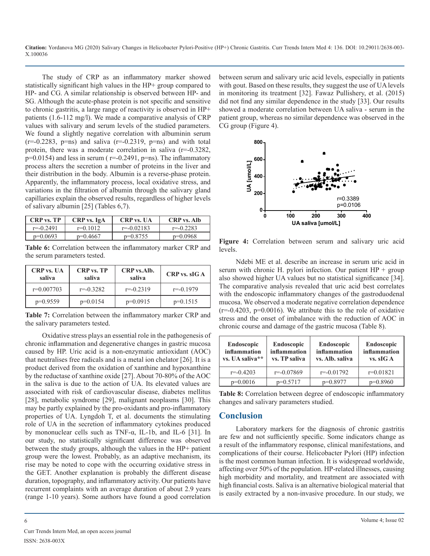The study of CRP as an inflammatory marker showed statistically significant high values in the HP+ group compared to HP- and CG. A similar relationship is observed between HP- and SG. Although the acute-phase protein is not specific and sensitive to chronic gastritis, a large range of reactivity is observed in HP+ patients (1.6-112 mg/l). We made a comparative analysis of CRP values with salivary and serum levels of the studied parameters. We found a slightly negative correlation with albuminin serum  $(r=-0.2283, p=ns)$  and saliva  $(r=-0.2319, p=ns)$  and with total protein, there was a moderate correlation in saliva (r=-0.3282,  $p=0.0154$ ) and less in serum ( $r=-0.2491$ ,  $p=ns$ ). The inflammatory process alters the secretion a number of proteins in the liver and their distribution in the body. Albumin is a reverse-phase protein. Apparently, the inflammatory process, local oxidative stress, and variations in the filtration of albumin through the salivary gland capillaries explain the observed results, regardless of higher levels of salivary albumin [25] (Tables 6,7).

| <b>CRP</b> vs. TP | CRP vs. IgA | <b>CRP</b> vs. UA | <b>CRP</b> vs. Alb |
|-------------------|-------------|-------------------|--------------------|
| $r = -0.2491$     | $r=0.1012$  | $r = -0.02183$    | $r = -0.2283$      |
| $p=0.0693$        | $p=0.4667$  | $p=0.8755$        | $p=0.0968$         |

**Table 6:** Correlation between the inflammatory marker CRP and the serum parameters tested.

| <b>CRP</b> vs. UA<br>saliva | <b>CRP</b> vs. TP<br>saliva | CRP vs.Alb.<br>saliva | CRP vs. sIG A |
|-----------------------------|-----------------------------|-----------------------|---------------|
| $r=0.007703$                | $r = -0.3282$               | $r = -0.2319$         | $r = -0.1979$ |
| $p=0.9559$                  | $p=0.0154$                  | $p=0.0915$            | $p=0.1515$    |

**Table 7:** Correlation between the inflammatory marker CRP and the salivary parameters tested.

Oxidative stress plays an essential role in the pathogenesis of chronic inflammation and degenerative changes in gastric mucosa caused by HP. Uric acid is a non-enzymatic antioxidant (AOC) that neutralises free radicals and is a metal ion chelator [26]. It is a product derived from the oxidation of xanthine and hypoxanthine by the reductase of xanthine oxide [27]. About 70-80% of the AOC in the saliva is due to the action of UA. Its elevated values are associated with risk of cardiovascular disease, diabetes mellitus [28], metabolic syndrome [29], malignant neoplasms [30]. This may be partly explained by the pro-oxidants and pro-inflammatory properties of UA. Lyngdoh T, et al. documents the stimulating role of UA in the secretion of inflammatory cytokines produced by mononuclear cells such as TNF-α, IL-1b, and IL-6 [31]. In our study, no statistically significant difference was observed between the study groups, although the values in the HP+ patient group were the lowest. Probably, as an adaptive mechanism, its rise may be noted to cope with the occurring oxidative stress in the GET. Another explanation is probably the different disease duration, topography, and inflammatory activity. Our patients have recurrent complaints with an average duration of about 2.9 years (range 1-10 years). Some authors have found a good correlation

between serum and salivary uric acid levels, especially in patients with gout. Based on these results, they suggest the use of UA levels in monitoring its treatment [32]. Fawaz Pullishery, et al. (2015) did not find any similar dependence in the study [33]. Our results showed a moderate correlation between UA saliva - serum in the patient group, whereas no similar dependence was observed in the CG group (Figure 4).



**Figure 4:** Correlation between serum and salivary uric acid levels.

Ndebi ME et al. describe an increase in serum uric acid in serum with chronic H. pylori infection. Our patient  $HP + group$ also showed higher UA values but no statistical significance [34]. The comparative analysis revealed that uric acid best correlates with the endoscopic inflammatory changes of the gastroduodenal mucosa. We observed a moderate negative correlation dependence  $(r=-0.4203, p=0.0016)$ . We attribute this to the role of oxidative stress and the onset of imbalance with the reduction of AOC in chronic course and damage of the gastric mucosa (Table 8).

| <b>Endoscopic</b><br>inflammation<br>vs. UA saliva** | <b>Endoscopic</b><br>inflammation<br>vs. TP saliva | Endoscopic<br>inflammation<br>vs. Alb. saliva | <b>Endoscopic</b><br>inflammation<br>vs. sIGA |
|------------------------------------------------------|----------------------------------------------------|-----------------------------------------------|-----------------------------------------------|
| $r = -0.4203$                                        | $r = -0.07869$                                     | $r = -0.01792$                                | $r=0.01821$                                   |
| $p=0.0016$                                           | $p=0.5717$                                         | $p=0.8977$                                    | $p=0.8960$                                    |

Table 8: Correlation between degree of endoscopic inflammatory changes and salivary parameters studied.

# **Conclusion**

Laboratory markers for the diagnosis of chronic gastritis are few and not sufficiently specific. Some indicators change as a result of the inflammatory response, clinical manifestations, and complications of their course. Helicobacter Pylori (HP) infection is the most common human infection. It is widespread worldwide, affecting over 50% of the population. HP-related illnesses, causing high morbidity and mortality, and treatment are associated with high financial costs. Saliva is an alternative biological material that is easily extracted by a non-invasive procedure. In our study, we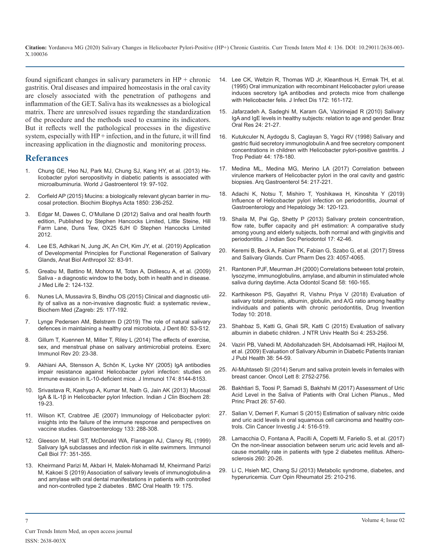found significant changes in salivary parameters in  $HP +$  chronic [gastritis. Oral diseases and impaired homeostasis in the oral cavity](https://www.ncbi.nlm.nih.gov/pubmed/7797906)  are closely associated with the penetration of pathogens and inflammation of the GET. Saliva has its weaknesses as a biological matrix. There are unresolved issues regarding the standardization [of the procedure and the methods used to examine its indicators.](https://www.ncbi.nlm.nih.gov/pubmed/20339709)  But it reflects well the pathological processes in the digestive system, especially with  $HP +$  infection, and in the future, it will find [increasing application in the diagnostic and monitoring process.](https://www.ncbi.nlm.nih.gov/pubmed/9680788)

# **Referances**

- 1. [Chung GE, Heo NJ, Park MJ, Chung SJ, Kang HY, et al. \(2013\) He](https://www.ncbi.nlm.nih.gov/pmc/articles/PMC3545230/)[licobacter pylori seropositivity in diabetic patients is associated with](https://www.ncbi.nlm.nih.gov/pmc/articles/PMC3545230/)  [microalbuminuria. World J Gastroenterol 19: 97-102.](https://www.ncbi.nlm.nih.gov/pmc/articles/PMC3545230/)
- 2. [Corfield AP \(2015\) Mucins: a biologically relevant glycan barrier in mu](https://www.ncbi.nlm.nih.gov/pubmed/24821013)[cosal protection. Biochim Biophys Acta 1850: 236-252](https://www.ncbi.nlm.nih.gov/pubmed/24821013).
- Edgar M, Dawes C, O'Mullane D (2012) Saliva and oral health fourth [edition, Published by Stephen Hancocks Limited, Little Steine, Hill](https://www.semanticscholar.org/paper/Saliva-and-oral-health-an-essential-overview-for-Edgar-Dawes/2dacd25944d8257b30f71ff4e1543323ade10c4a)  [Farm Lane, Duns Tew, OX25 6JH © Stephen Hancocks Limited](https://www.semanticscholar.org/paper/Saliva-and-oral-health-an-essential-overview-for-Edgar-Dawes/2dacd25944d8257b30f71ff4e1543323ade10c4a)  [2012.](https://www.semanticscholar.org/paper/Saliva-and-oral-health-an-essential-overview-for-Edgar-Dawes/2dacd25944d8257b30f71ff4e1543323ade10c4a)
- Lee ES, Adhikari N, Jung JK, An CH, Kim JY, et al. (2019) Application [of Developmental Principles for Functional Regeneration of Salivary](https://synapse.koreamed.org/DOIx.php?id=10.11637/aba.2019.32.3.83&vmode=PUBREADER)  [Glands, Anat Biol Anthropol 32: 83-91](https://synapse.koreamed.org/DOIx.php?id=10.11637/aba.2019.32.3.83&vmode=PUBREADER).
- 5. [Greabu M, Battino M, Mohora M, Totan A, Didilescu A, et al. \(2009\)](https://europepmc.org/article/med/20108531)  [Saliva - a diagnostic window to the body, both in health and in disease.](https://europepmc.org/article/med/20108531)  [J Med Life 2: 124-132.](https://europepmc.org/article/med/20108531)
- 6. [Nunes LA, Mussavira S, Bindhu OS \(2015\) Clinical and diagnostic util](https://www.ncbi.nlm.nih.gov/pubmed/26110030)[ity of saliva as a non-invasive diagnostic fluid: a systematic review.,](https://www.ncbi.nlm.nih.gov/pubmed/26110030)  [Biochem Med \(Zagreb: 25: 177-192](https://www.ncbi.nlm.nih.gov/pubmed/26110030).
- 7. [Lynge Pedersen AM, Belstrøm D \(2019\) The role of natural salivary](https://www.ncbi.nlm.nih.gov/pubmed/30696553)  [defences in maintaining a healthy oral microbiota, J Dent 80: S3-S12.](https://www.ncbi.nlm.nih.gov/pubmed/30696553)
- 8. [Gillum T, Kuennen M, Miller T, Riley L \(2014\) The effects of exercise,](https://www.ncbi.nlm.nih.gov/pubmed/24974719)  [sex, and menstrual phase on salivary antimicrobial proteins. Exerc](https://www.ncbi.nlm.nih.gov/pubmed/24974719) [Immunol Rev 20: 23-38.](https://www.ncbi.nlm.nih.gov/pubmed/24974719)
- 9. [Akhiani AA, Stensson A, Schön K, Lycke NY \(2005\) IgA antibodies](https://www.jimmunol.org/content/174/12/8144)  [impair resistance against Helicobacter pylori infection: studies on](https://www.jimmunol.org/content/174/12/8144)  [immune evasion in IL-10-deficient mice. J Immunol 174: 8144-8153](https://www.jimmunol.org/content/174/12/8144).
- 10. Srivastava R, Kashyap A, Kumar M, Nath G, Jain AK (2013) Mucosal IgA & IL-1β in Helicobacter pylori Infection. Indian J Clin Biochem 28: 19-23.
- 11. [Wilson KT, Crabtree JE \(2007\) Immunology of Helicobacter pylori:](https://www.ncbi.nlm.nih.gov/pubmed/17631150)  [insights into the failure of the immune response and perspectives on](https://www.ncbi.nlm.nih.gov/pubmed/17631150)  [vaccine studies. Gastroenterology 133: 288-308.](https://www.ncbi.nlm.nih.gov/pubmed/17631150)
- 12. [Gleeson M, Hall ST, McDonald WA, Flanagan AJ, Clancy RL \(1999\)](https://www.ncbi.nlm.nih.gov/pubmed/10457203)  [Salivary IgA subclasses and infection risk in elite swimmers. Immunol](https://www.ncbi.nlm.nih.gov/pubmed/10457203)  [Cell Biol 77: 351-355](https://www.ncbi.nlm.nih.gov/pubmed/10457203).
- 13. [Kheirmand Parizi M, Akbari H, Malek-Mohamadi M, Kheirmand Parizi](https://www.ncbi.nlm.nih.gov/pubmed/31387562)  [M, Kakoei S \(2019\) Association of salivary levels of immunoglobulin-a](https://www.ncbi.nlm.nih.gov/pubmed/31387562)  [and amylase with oral dental manifestations in patients with controlled](https://www.ncbi.nlm.nih.gov/pubmed/31387562) [and non-controlled type 2 diabetes . BMC Oral Health 19:](https://www.ncbi.nlm.nih.gov/pubmed/31387562) 175.
- 14. [Lee CK, Weltzin R, Thomas WD Jr, Kleanthous H, Ermak TH, et al.](https://www.ncbi.nlm.nih.gov/pubmed/7797906) (1995) Oral immunization with recombinant Helicobacter pylori urease [induces secretory IgA antibodies and protects mice from challenge](https://www.ncbi.nlm.nih.gov/pubmed/7797906)  [with Helicobacter felis. J Infect Dis 172: 161-172.](https://www.ncbi.nlm.nih.gov/pubmed/7797906)
- 15. [Jafarzadeh A, Sadeghi M, Karam GA, Vazirinejad R \(2010\) Salivary](https://www.ncbi.nlm.nih.gov/pubmed/20339709)  IgA and IgE levels in healthy subjects: relation to age and gender. Braz [Oral Res 24: 21-27.](https://www.ncbi.nlm.nih.gov/pubmed/20339709)
- 16. [Kutukculer N, Aydogdu S, Caglayan S, Yagci RV \(1998\) Salivary and](https://www.ncbi.nlm.nih.gov/pubmed/9680788) gastric fluid secretory immunoglobulin A and free secretory component [concentrations in children with Helicobacter pylori-positive gastritis. J](https://www.ncbi.nlm.nih.gov/pubmed/9680788)  [Trop Pediatr 44: 178-180.](https://www.ncbi.nlm.nih.gov/pubmed/9680788)
- 17. [Medina ML, Medina MG, Merino LA \(2017\) Correlation between](https://www.ncbi.nlm.nih.gov/pubmed/28724047) [virulence markers of Helicobacter pylori in the oral cavity and gastric](https://www.ncbi.nlm.nih.gov/pubmed/28724047)  [biopsies. Arq Gastroenterol 54:](https://www.ncbi.nlm.nih.gov/pubmed/28724047) 217-221.
- 18. [Adachi K, Notsu T, Mishiro T, Yoshikawa H, Kinoshita Y \(2019\)](https://www.ncbi.nlm.nih.gov/pubmed/29932231)  [Influence of Helicobacter pylori infection on periodontitis, Journal of](https://www.ncbi.nlm.nih.gov/pubmed/29932231) [Gastroenterology and Hepatology 34: 120-123.](https://www.ncbi.nlm.nih.gov/pubmed/29932231)
- 19. [Shaila M, Pai Gp, Shetty P \(2013\) Salivary protein concentration,](https://www.ncbi.nlm.nih.gov/pubmed/23633771)  [flow rate, buffer capacity and pH estimation: A comparative study](https://www.ncbi.nlm.nih.gov/pubmed/23633771) [among young and elderly subjects, both normal and with gingivitis and](https://www.ncbi.nlm.nih.gov/pubmed/23633771) [periodontitis. J Indian Soc Periodontol 17: 42-46.](https://www.ncbi.nlm.nih.gov/pubmed/23633771)
- 20. [Keremi B, Beck A, Fabian TK, Fabian G, Szabo G,](https://www.ncbi.nlm.nih.gov/pubmed/28215154) et al. (2017) Stress [and Salivary Glands. Curr Pharm Des 23: 4057-4065](https://www.ncbi.nlm.nih.gov/pubmed/28215154).
- 21. [Rantonen PJF, Meurman JH \(2000\) Correlations between total protein,](https://www.ncbi.nlm.nih.gov/pubmed/11045369) [lysozyme, immunoglobulins, amylase, and albumin in stimulated whole](https://www.ncbi.nlm.nih.gov/pubmed/11045369) [saliva during daytime. Acta Odontol Scand 58: 160-165](https://www.ncbi.nlm.nih.gov/pubmed/11045369).
- 22. [Karthikeson PS, Gayathri R, Vishnu Priya V \(2018\) Evaluation of](http://jprsolutions.info/files/final-file-5b31cea0c5ae07.77735156.pdf)  [salivary total proteins, albumin, globulin, and A/G ratio among healthy](http://jprsolutions.info/files/final-file-5b31cea0c5ae07.77735156.pdf)  [individuals and patients with chronic periodontitis, Drug Invention](http://jprsolutions.info/files/final-file-5b31cea0c5ae07.77735156.pdf)  [Today 10: 2018.](http://jprsolutions.info/files/final-file-5b31cea0c5ae07.77735156.pdf)
- 23. [Shahbaz S, Katti G, Ghali SR, Katti C \(2015\) Evaluation of salivary](http://www.jdrntruhs.org/article.asp?issn=2277-8632;year=2015;volume=4;issue=4;spage=253;epage=256;aulast=Shahbaz)  [albumin in diabetic children. J NTR Univ Health Sci 4: 253-256](http://www.jdrntruhs.org/article.asp?issn=2277-8632;year=2015;volume=4;issue=4;spage=253;epage=256;aulast=Shahbaz).
- 24. [Vaziri PB, Vahedi M, Abdollahzadeh SH, Abdolsamadi HR, Hajilooi M,](http://ijph.tums.ac.ir/index.php/ijph/article/view/3171) et al. (2009) [Evaluation of Salivary Albumin in Diabetic Patients Iranian](http://ijph.tums.ac.ir/index.php/ijph/article/view/3171)  [J Publ Health 38: 54-59](http://ijph.tums.ac.ir/index.php/ijph/article/view/3171).
- 25. Al-Muhtaseb SI (2014) [Serum and saliva protein levels in females with](https://www.ncbi.nlm.nih.gov/pmc/articles/PMC4214488/)  [breast cancer. Oncol Lett 8: 2752-2756](https://www.ncbi.nlm.nih.gov/pmc/articles/PMC4214488/).
- 26. [Bakhtiari S, Toosi P, Samadi S, Bakhshi M \(2017\) Assessment of Uric](https://www.karger.com/Article/Fulltext/452133)  [Acid Level in the Saliva of Patients with Oral Lichen Planus., Med](https://www.karger.com/Article/Fulltext/452133)  [Princ Pract 26: 57-60](https://www.karger.com/Article/Fulltext/452133).
- 27. [Salian V, Demeri F, Kumari S \(2015\) Estimation of salivary nitric oxide](http://www.ccij-online.org/article.asp?issn=2278-0513;year=2015;volume=4;issue=4;spage=516;epage=519;aulast=Salian;type=0)  [and uric acid levels in oral squamous cell carcinoma and healthy con](http://www.ccij-online.org/article.asp?issn=2278-0513;year=2015;volume=4;issue=4;spage=516;epage=519;aulast=Salian;type=0)[trols. Clin Cancer Investig J 4: 516-519](http://www.ccij-online.org/article.asp?issn=2278-0513;year=2015;volume=4;issue=4;spage=516;epage=519;aulast=Salian;type=0).
- 28. [Lamacchia O, Fontana A, Pacilli A, Copetti M, Fariello S, et al. \(2017\)](https://www.ncbi.nlm.nih.gov/pubmed/28334637)  [On the non-linear association between serum uric acid levels and all](https://www.ncbi.nlm.nih.gov/pubmed/28334637)[cause mortality rate in patients with type 2 diabetes mellitus. Athero](https://www.ncbi.nlm.nih.gov/pubmed/28334637)[sclerosis 260: 20-26.](https://www.ncbi.nlm.nih.gov/pubmed/28334637)
- 29. [Li C, Hsieh MC, Chang SJ \(2013\) Metabolic syndrome, diabetes, and](https://www.ncbi.nlm.nih.gov/pubmed/23370374)  hyperuricemia. Curr Opin Rheumatol 25: 210-216.